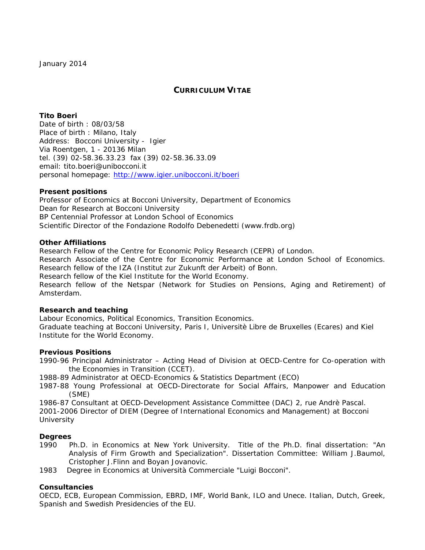# **CURRICULUM VITAE**

# **Tito Boeri**

*Date of birth* : 08/03/58 *Place of birth* : Milano, Italy *Address*: Bocconi University - Igier Via Roentgen, 1 - 20136 Milan tel. (39) 02-58.36.33.23 fax (39) 02-58.36.33.09 email: tito.boeri@unibocconi.it personal homepage: http://www.igier.unibocconi.it/boeri

## *Present positions*

Professor of Economics at Bocconi University, Department of Economics Dean for Research at Bocconi University BP Centennial Professor at London School of Economics Scientific Director of the Fondazione Rodolfo Debenedetti (www.frdb.org)

### *Other Affiliations*

Research Fellow of the Centre for Economic Policy Research (CEPR) of London. Research Associate of the Centre for Economic Performance at London School of Economics. Research fellow of the IZA (Institut zur Zukunft der Arbeit) of Bonn. Research fellow of the Kiel Institute for the World Economy. Research fellow of the Netspar (Network for Studies on Pensions, Aging and Retirement) of Amsterdam.

## *Research and teaching*

Labour Economics, Political Economics, Transition Economics. Graduate teaching at Bocconi University, Paris I, Universitè Libre de Bruxelles (Ecares) and Kiel Institute for the World Economy.

## *Previous Positions*

1990-96 Principal Administrator – Acting Head of Division at *OECD-Centre for Co-operation with the Economies in Transition* (CCET).

1988-89 Administrator at *OECD-Economics & Statistics Department* (ECO)

1987-88 Young Professional at *OECD-Directorate for Social Affairs, Manpower and Education* (SME)

1986-87 Consultant at *OECD-Development Assistance Committee* (DAC) 2, rue Andrè Pascal.

2001-2006 Director of DIEM (Degree of International Economics and Management) at Bocconi **University** 

## *Degrees*

- 1990 *Ph.D. in Economics* at New York University. Title of the Ph.D. final dissertation: "An Analysis of Firm Growth and Specialization". Dissertation Committee: William J.Baumol, Cristopher J.Flinn and Boyan Jovanovic.
- 1983 *Degree in Economics* at Università Commerciale "Luigi Bocconi".

## *Consultancies*

OECD, ECB, European Commission, EBRD, IMF, World Bank, ILO and Unece. Italian, Dutch, Greek, Spanish and Swedish Presidencies of the EU.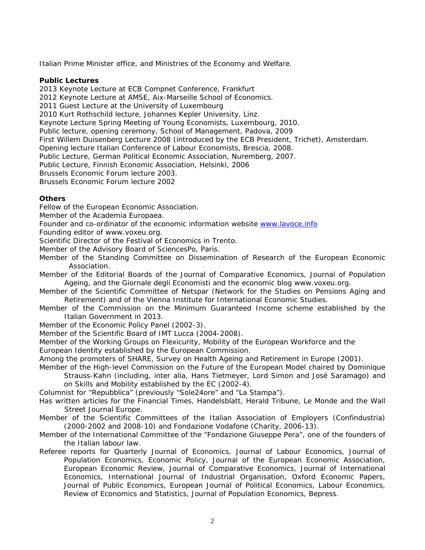Italian Prime Minister office, and Ministries of the Economy and Welfare.

### **Public Lectures**

2013 Keynote Lecture at ECB Compnet Conference, Frankfurt 2012 Keynote Lecture at AMSE, Aix-Marseille School of Economics. 2011 Guest Lecture at the University of Luxembourg 2010 Kurt Rothschild lecture, Johannes Kepler University, Linz. Keynote Lecture Spring Meeting of Young Economists, Luxembourg, 2010. Public lecture, opening ceremony, School of Management, Padova, 2009 First Willem Duisenberg Lecture 2008 (introduced by the ECB President, Trichet), Amsterdam. Opening lecture Italian Conference of Labour Economists, Brescia, 2008. Public Lecture, German Political Economic Association, Nuremberg, 2007. Public Lecture, Finnish Economic Association, Helsinki, 2006 Brussels Economic Forum lecture 2003. Brussels Economic Forum lecture 2002

## *Others*

Fellow of the European Economic Association.

Member of the Academia Europaea.

Founder and co-ordinator of the economic information website www.lavoce.info

Founding editor of www.voxeu.org.

Scientific Director of the Festival of Economics in Trento.

Member of the Advisory Board of SciencesPo, Paris.

Member of the Standing Committee on Dissemination of Research of the European Economic Association.

Member of the Editorial Boards of the *Journal of Comparative Economics, Journal of Population Ageing*, and the *Giornale degli Economisti* and the economic blog www.voxeu.org.

- Member of the Scientific Committee of Netspar (Network for the Studies on Pensions Aging and Retirement) and of the Vienna Institute for International Economic Studies.
- Member of the Commission on the Minimum Guaranteed Income scheme established by the Italian Government in 2013.

Member of the Economic Policy Panel (2002-3).

Member of the Scientific Board of IMT Lucca (2004-2008).

Member of the Working Groups on Flexicurity, Mobility of the European Workforce and the

European Identity established by the European Commission.

Among the promoters of SHARE, Survey on Health Ageing and Retirement in Europe (2001).

Member of the High-level Commission on the Future of the European Model chaired by Dominique

Strauss-Kahn (including, inter alia, Hans Tietmeyer, Lord Simon and José Saramago) and on Skills and Mobility established by the EC (2002-4).

Columnist for "Repubblica" (previously "Sole24ore" and "La Stampa").

Has written articles for the Financial Times, Handelsblatt, Herald Tribune, Le Monde and the Wall Street Journal Europe.

Member of the Scientific Committees of the Italian Association of Employers (Confindustria) (2000-2002 and 2008-10) and Fondazione Vodafone (Charity, 2006-13).

Member of the International Committee of the "Fondazione Giuseppe Pera", one of the founders of the Italian labour law.

Referee reports for Quarterly Journal of Economics, Journal of Labour Economics, Journal of Population Economics, Economic Policy, Journal of the European Economic Association, European Economic Review, Journal of Comparative Economics, Journal of International Economics, International Journal of Industrial Organisation, Oxford Economic Papers, Journal of Public Economics, European Journal of Political Economics, Labour Economics, Review of Economics and Statistics, Journal of Population Economics, Bepress.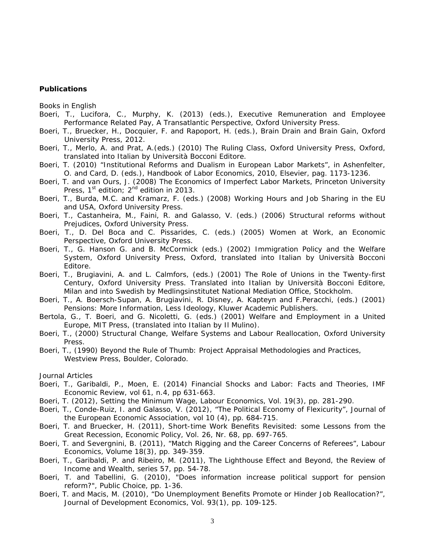#### *Publications*

*Books in English* 

- Boeri, T., Lucifora, C., Murphy, K. (2013) (eds.), *Executive Remuneration and Employee Performance Related Pay, A Transatlantic Perspective*, Oxford University Press.
- Boeri, T., Bruecker, H., Docquier, F. and Rapoport, H. (eds.), *Brain Drain and Brain Gain*, Oxford University Press, 2012.
- Boeri, T., Merlo, A. and Prat, A.(eds.) (2010) *The Ruling Class*, Oxford University Press, Oxford, translated into Italian by Università Bocconi Editore.
- Boeri, T*.* (2010*)* "Institutional Reforms and Dualism in European Labor Markets", in Ashenfelter, O. and Card, D. (eds.), Handbook of Labor Economics, 2010, Elsevier, pag. 1173-1236.
- Boeri, T. and van Ours, J. (2008) *The Economics of Imperfect Labor Markets*, Princeton University Press,  $1^{st}$  edition;  $2^{nd}$  edition in 2013.
- Boeri, T., Burda, M.C. and Kramarz, F. (eds.) (2008) *Working Hours and Job Sharing in the EU and USA*, Oxford University Press.
- Boeri, T., Castanheira, M., Faini, R. and Galasso, V. (eds.) (2006) *Structural reforms without Prejudices*, Oxford University Press.
- Boeri, T., D. Del Boca and C. Pissarides, C. (eds.) (2005) *Women at Work, an Economic Perspective*, Oxford University Press.
- Boeri, T., G. Hanson G. and B. McCormick (eds.) (2002) *Immigration Policy and the Welfare System*, Oxford University Press, Oxford, translated into Italian by Università Bocconi Editore.
- Boeri, T., Brugiavini, A. and L. Calmfors, (eds.) (2001) *The Role of Unions in the Twenty-first Century*, Oxford University Press. Translated into Italian by Università Bocconi Editore, Milan and into Swedish by Medlingsinstitutet National Mediation Office, Stockholm.
- Boeri, T., A. Boersch-Supan, A. Brugiavini, R. Disney, A. Kapteyn and F.Peracchi, (eds.) (2001) *Pensions: More Information, Less Ideology,* Kluwer Academic Publishers.
- Bertola, G., T. Boeri, and G. Nicoletti, G. (eds.) (2001) *Welfare and Employment in a United Europe*, MIT Press, (translated into Italian by Il Mulino).
- Boeri, T*.*, (2000) *Structural Change, Welfare Systems and Labour Reallocation*, Oxford University Press.
- Boeri, T., (1990) *Beyond the Rule of Thumb: Project Appraisal Methodologies and Practices*, Westview Press, Boulder, Colorado.

#### *Journal Articles*

- Boeri, T., Garibaldi, P., Moen, E. (2014) Financial Shocks and Labor: Facts and Theories, *IMF Economic Review*, vol 61, n.4, pp 631-663.
- Boeri, T. (2012), Setting the Minimum Wage, *Labour Economics*, Vol. 19(3), pp. 281-290.
- Boeri, T., Conde-Ruiz, I. and Galasso, V. (2012), "The Political Economy of Flexicurity", *Journal of the European Economic Association,* vol 10 (4), pp. 684-715.
- Boeri, T. and Bruecker, H. (2011), Short-time Work Benefits Revisited: some Lessons from the Great Recession, *Economic Policy*, Vol. 26, Nr. 68, pp. 697-765.
- Boeri, T. and Severgnini, B. (2011), "Match Rigging and the Career Concerns of Referees", *Labour Economics*, Volume 18(3), pp. 349-359.
- Boeri, T., Garibaldi, P. and Ribeiro, M. (2011), The Lighthouse Effect and Beyond, the Review of Income and Wealth, series 57, pp. 54-78.
- Boeri, T. and Tabellini, G. (2010), "Does information increase political support for pension reform?", *Public Choice*, pp. 1-36.
- Boeri, T. and Macis, M. (2010), "Do Unemployment Benefits Promote or Hinder Job Reallocation?", *Journal of Development Economics*, Vol. 93(1), pp. 109-125.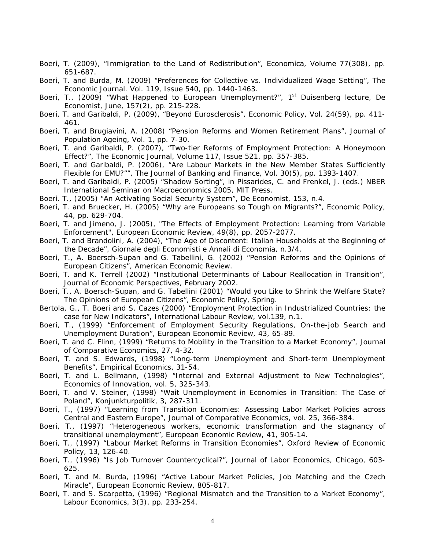- Boeri, T. (2009), "Immigration to the Land of Redistribution", *Economica*, Volume 77(308), pp. 651-687.
- Boeri, T. and Burda, M. (2009) "Preferences for Collective vs. Individualized Wage Setting", *The Economic Journal*. Vol. 119, Issue 540, pp. 1440-1463.
- Boeri, T., (2009) "What Happened to European Unemployment?", 1<sup>st</sup> Duisenberg lecture, *De Economist*, June, 157(2), pp. 215-228.
- Boeri, T. and Garibaldi, P. (2009), "Beyond Eurosclerosis", *Economic Policy*, Vol. 24(59), pp. 411- 461.
- Boeri, T. and Brugiavini, A. (2008) "Pension Reforms and Women Retirement Plans", *Journal of Population Ageing,* Vol. 1, pp. 7-30.
- Boeri, T. and Garibaldi, P. (2007), "Two-tier Reforms of Employment Protection: A Honeymoon Effect?", *The Economic Journal*, Volume 117, Issue 521, pp. 357-385.
- Boeri, T. and Garibaldi, P. (2006), "Are Labour Markets in the New Member States Sufficiently Flexible for EMU?"", *The Journal of Banking and Finance*, Vol. 30(5), pp. 1393-1407.
- Boeri, T. and Garibaldi, P. (2005) "Shadow Sorting", in Pissarides, C. and Frenkel, J. (eds.) *NBER International Seminar on Macroeconomics 2005*, MIT Press.
- Boeri. T., (2005) "An Activating Social Security System", *De Economist,* 153, n.4.
- Boeri, T. and Bruecker, H. (2005) "Why are Europeans so Tough on Migrants?", *Economic Policy*, 44, pp. 629-704.
- Boeri, T. and Jimeno, J. (2005), "The Effects of Employment Protection: Learning from Variable Enforcement", *European Economic Review*, 49(8), pp. 2057-2077.
- Boeri, T. and Brandolini, A. (2004), "The Age of Discontent: Italian Households at the Beginning of the Decade"*, Giornale degli Economisti e Annali di Economia,* n.3/4.
- Boeri, T., A. Boersch-Supan and G. Tabellini, G. (2002) "Pension Reforms and the Opinions of European Citizens", *American Economic Review*.
- Boeri, T. and K. Terrell (2002) "Institutional Determinants of Labour Reallocation in Transition", *Journal of Economic Perspectives*, February 2002.
- Boeri, T., A. Boersch-Supan, and G. Tabellini (2001) "Would you Like to Shrink the Welfare State? The Opinions of European Citizens", *Economic Policy,* Spring.
- Bertola, G., T. Boeri and S. Cazes (2000) "Employment Protection in Industrialized Countries: the case for New Indicators", *International Labour Review*, vol.139, n.1.
- Boeri, T., (1999) "Enforcement of Employment Security Regulations, On-the-job Search and Unemployment Duration", *European Economic Review,* 43, 65-89*.*
- Boeri, T. and C. Flinn, (1999) "Returns to Mobility in the Transition to a Market Economy", *Journal of Comparative Economics*, 27, 4-32.
- Boeri, T. and S. Edwards, (1998) "Long-term Unemployment and Short-term Unemployment Benefits", *Empirical Economics*, 31-54.
- Boeri, T. and L. Bellmann, (1998) "Internal and External Adjustment to New Technologies", *Economics of Innovation*, vol. 5, 325-343.
- Boeri, T. and V. Steiner, (1998) "*Wait Unemployment* in Economies in Transition: The Case of Poland", *Konjunkturpolitik*, 3, 287-311.
- Boeri, T., (1997) "Learning from Transition Economies: Assessing Labor Market Policies across Central and Eastern Europe", *Journal of Comparative Economics,* vol. 25, 366-384.
- Boeri, T., (1997) "Heterogeneous workers, economic transformation and the stagnancy of transitional unemployment", *European Economic Review*, 41, 905-14.
- Boeri, T., (1997) "Labour Market Reforms in Transition Economies", *Oxford Review of Economic Policy*, 13, 126-40.
- Boeri, T., (1996) "Is Job Turnover Countercyclical?", *Journal of Labor Economics,* Chicago, 603- 625.
- Boeri, T. and M. Burda, (1996) "Active Labour Market Policies, Job Matching and the Czech Miracle", *European Economic Review*, 805-817.
- Boeri, T. and S. Scarpetta, (1996) "Regional Mismatch and the Transition to a Market Economy", *Labour Economics,* 3(3), pp. 233-254*.*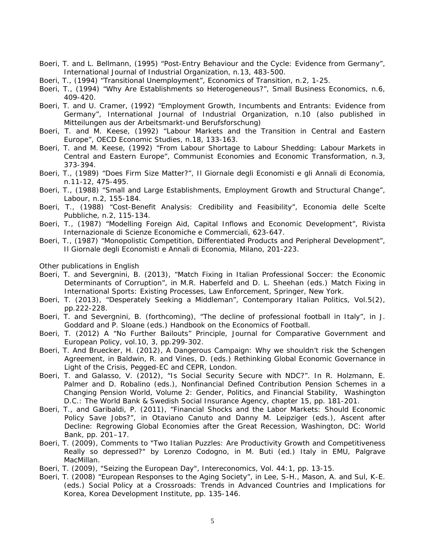- Boeri, T. and L. Bellmann, (1995) "Post-Entry Behaviour and the Cycle: Evidence from Germany", *International Journal of Industrial Organization*, n.13, 483-500.
- Boeri, T., (1994) "Transitional Unemployment", *Economics of Transition*, n.2, 1-25.
- Boeri, T., (1994) "Why Are Establishments so Heterogeneous?", *Small Business Economics,* n.6, 409-420.
- Boeri, T. and U. Cramer, (1992) "Employment Growth, Incumbents and Entrants: Evidence from Germany", *International Journal of Industrial Organization*, n.10 (also published in *Mitteilungen aus der Arbeitsmarkt-und Berufsforschung*)
- Boeri, T. and M. Keese, (1992) "Labour Markets and the Transition in Central and Eastern Europe", *OECD Economic Studies*, n.18, 133-163.
- Boeri, T. and M. Keese, (1992) "From Labour Shortage to Labour Shedding: Labour Markets in Central and Eastern Europe", *Communist Economies and Economic Transformation*, n.3, 373-394.
- Boeri, T., (1989) "Does Firm Size Matter?", *Il Giornale degli Economisti e gli Annali di Economia*, n.11-12, 475-495.
- Boeri, T., (1988) "Small and Large Establishments, Employment Growth and Structural Change", *Labour*, n.2, 155-184.
- Boeri, T., (1988) "Cost-Benefit Analysis: Credibility and Feasibility", *Economia delle Scelte Pubbliche*, n.2, 115-134.
- Boeri, T., (1987) "Modelling Foreign Aid, Capital Inflows and Economic Development", *Rivista Internazionale di Scienze Economiche e Commerciali*, 623-647.
- Boeri, T., (1987) "Monopolistic Competition, Differentiated Products and Peripheral Development", *Il Giornale degli Economisti e Annali di Economia*, Milano, 201-223.

#### *Other publications in English*

- Boeri, T. and Severgnini, B. (2013), "Match Fixing in Italian Professional Soccer: the Economic Determinants of Corruption", in M.R. Haberfeld and D. L. Sheehan (eds.) *Match Fixing in International Sports: Existing Processes, Law Enforcement*, Springer, New York.
- Boeri, T. (2013), "Desperately Seeking a Middleman", *Contemporary Italian Politics,* Vol.5(2), pp.222-228.
- Boeri, T. and Severgnini, B. (forthcoming), "The decline of professional football in Italy", in J. Goddard and P. Sloane (eds.) *Handbook on the Economics of Football*.
- Boeri, T. (2012) A "No Further Bailouts" Principle, Journal for Comparative Government and European Policy, vol.10, 3, pp.299-302.
- Boeri, T. And Bruecker, H. (2012), A Dangerous Campaign: Why we shouldn't risk the Schengen Agreement, in Baldwin, R. and Vines, D. (eds.) *Rethinking Global Economic Governance in Light of the Crisis*, Pegged-EC and CEPR, London.
- Boeri, T. and Galasso, V. (2012), "Is Social Security Secure with NDC?". In R. Holzmann, E. Palmer and D. Robalino (eds.), *Nonfinancial Defined Contribution Pension Schemes in a Changing Pension World, Volume 2: Gender, Politics, and Financial Stability,* Washington D.C.: The World Bank & Swedish Social Insurance Agency, chapter 15, pp. 181-201.
- Boeri, T., and Garibaldi, P. (2011), "Financial Shocks and the Labor Markets: Should Economic Policy Save Jobs?", in Otaviano Canuto and Danny M. Leipziger (eds.), *Ascent after Decline: Regrowing Global Economies after the Great Recession*, Washington, DC: World Bank, pp. 201–17.
- Boeri, T. (2009), Comments to "Two Italian Puzzles: Are Productivity Growth and Competitiveness Really so depressed?" by Lorenzo Codogno, in M. Buti (ed.) *Italy in EMU*, Palgrave MacMillan.
- Boeri, T. (2009), "Seizing the European Day", *Intereconomics*, Vol. 44:1, pp. 13-15.
- Boeri, T. (2008) "European Responses to the Aging Society", in Lee, S-H., Mason, A. and Sul, K-E. (eds.) *Social Policy at a Crossroads: Trends in Advanced Countries and Implications for Korea*, Korea Development Institute, pp. 135-146.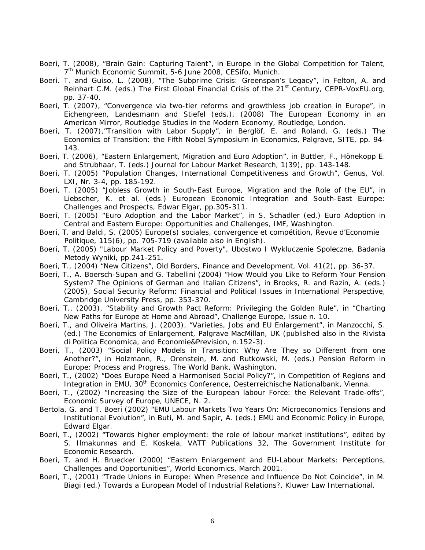- Boeri, T. (2008), "Brain Gain: Capturing Talent", in *Europe in the Global Competition for Talent*, 7<sup>th</sup> Munich Economic Summit, 5-6 June 2008, CESifo, Munich.
- Boeri. T. and Guiso, L. (2008), "The Subprime Crisis: Greenspan's Legacy", in Felton, A. and Reinhart C.M. (eds.) *The First Global Financial Crisis of the 21st Century*, CEPR-VoxEU.org, pp. 37-40.
- Boeri, T. (2007), "Convergence via two-tier reforms and growthless job creation in Europe", in Eichengreen, Landesmann and Stiefel (eds.), (2008) *The European Economy in an American Mirror*, Routledge Studies in the Modern Economy, Routledge, London.
- Boeri, T. (2007),"Transition with Labor Supply", in Berglöf, E. and Roland, G. (eds.) *The Economics of Transition: the Fifth Nobel Symposium in Economics*, Palgrave, SITE, pp. 94- 143.
- Boeri, T. (2006), "Eastern Enlargement, Migration and Euro Adoption", in Buttler, F., Hönekopp E. and Strubhaar, T. (eds.) *Journal for Labour Market Research*, 1(39), pp. 143-148.
- Boeri, T. (2005) "Population Changes, International Competitiveness and Growth", *Genus*, Vol. LXI, Nr. 3-4, pp. 185-192.
- Boeri, T. (2005) "Jobless Growth in South-East Europe, Migration and the Role of the EU", in Liebscher, K. et al. (eds.) *European Economic Integration and South-East Europe: Challenges and Prospects*, Edwar Elgar, pp.305-311.
- Boeri, T. (2005) "Euro Adoption and the Labor Market", in S. Schadler (ed.) *Euro Adoption in Central and Eastern Europe: Opportunities and Challenges*, IMF, Washington.
- Boeri, T. and Baldi, S. (2005) Europe(s) sociales, convergence et compétition, *Revue d'Economie Politique*, 115(6), pp. 705-719 (available also in English).
- Boeri, T. (2005) "Labour Market Policy and Poverty", *Ubostwo I Wykluczenie Spoleczne, Badania Metody Wyniki*, pp.241-251.
- Boeri, T., (2004) "New Citizens", Old Borders, *Finance and Development*, Vol. 41(2), pp. 36-37.
- Boeri, T., A. Boersch-Supan and G. Tabellini (2004) "How Would you Like to Reform Your Pension System? The Opinions of German and Italian Citizens", in Brooks, R. and Razin, A. (eds.) (2005), *Social Security Reform: Financial and Political Issues in International Perspective*, Cambridge University Press, pp. 353-370.
- Boeri, T., (2003), "Stability and Growth Pact Reform: Privileging the Golden Rule", in "Charting New Paths for Europe at Home and Abroad", *Challenge Europe,* Issue n. 10.
- Boeri, T., and Oliveira Martins, J. (2003), "Varieties, Jobs and EU Enlargement", in Manzocchi, S. (ed.) *The Economics of Enlargement*, Palgrave MacMillan, UK (published also in the *Rivista di Politica Economica*, and Economie&Prevision, n.152-3).
- Boeri, T., (2003) "Social Policy Models in Transition: Why Are They so Different from one Another?", in Holzmann, R., Orenstein, M. and Rutkowski, M. (eds.) *Pension Reform in Europe: Process and Progress*, The World Bank, Washington.
- Boeri, T., (2002) "Does Europe Need a Harmonised Social Policy?", in *Competition of Regions and Integration in EMU*, 30<sup>th</sup> Economics Conference, Oesterreichische Nationalbank, Vienna.
- Boeri, T., (2002) "Increasing the Size of the European labour Force: the Relevant Trade-offs", *Economic Survey of Europe*, UNECE, N. 2.
- Bertola, G. and T. Boeri (2002) "EMU Labour Markets Two Years On: Microeconomics Tensions and Institutional Evolution", in Buti, M. and Sapir, A. (eds.) *EMU and Economic Policy in Europe*, Edward Elgar.
- Boeri, T., (2002) "Towards higher employment: the role of labour market institutions", edited by S. Ilmakunnas and E. Koskela, VATT Publications 32, The Government Institute for Economic Research.
- Boeri, T. and H. Bruecker (2000) "Eastern Enlargement and EU-Labour Markets: Perceptions, Challenges and Opportunities", *World Economics,* March 2001.
- Boeri, T., (2001) "Trade Unions in Europe: When Presence and Influence Do Not Coincide", in M. Biagi (ed.) *Towards a European Model of Industrial Relations?,* Kluwer Law International.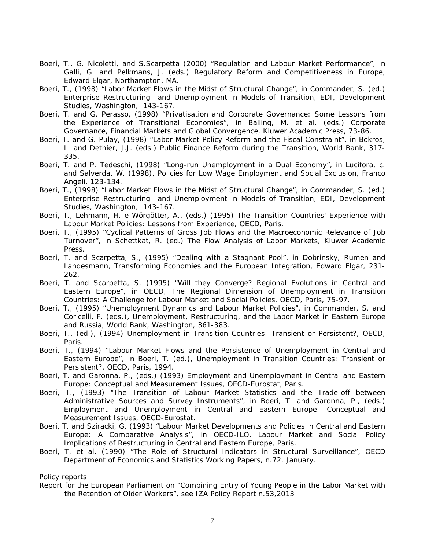- Boeri, T., G. Nicoletti, and S.Scarpetta (2000) "Regulation and Labour Market Performance", in Galli, G. and Pelkmans, J. (eds.) *Regulatory Reform and Competitiveness in Europe*, Edward Elgar, Northampton, MA.
- Boeri, T., (1998) "Labor Market Flows in the Midst of Structural Change", in Commander, S. (ed.) *Enterprise Restructuring and Unemployment in Models of Transition*, EDI, Development Studies, Washington, 143-167.
- Boeri, T. and G. Perasso, (1998) "Privatisation and Corporate Governance: Some Lessons from the Experience of Transitional Economies", in Balling, M. et al. (eds.) *Corporate Governance, Financial Markets and Global Convergence*, Kluwer Academic Press, 73-86.
- Boeri, T. and G. Pulay, (1998) "Labor Market Policy Reform and the Fiscal Constraint", in Bokros, L. and Dethier, J.J. (eds.) *Public Finance Reform during the Transition*, World Bank, 317- 335.
- Boeri, T. and P. Tedeschi, (1998) "Long-run Unemployment in a Dual Economy", in Lucifora, c. and Salverda, W. (1998), *Policies for Low Wage Employment and Social Exclusion*, Franco Angeli, 123-134.
- Boeri, T., (1998) "Labor Market Flows in the Midst of Structural Change", in Commander, S. (ed.) *Enterprise Restructuring and Unemployment in Models of Transition*, EDI, Development Studies, Washington, 143-167.
- Boeri, T., Lehmann, H. e Wörgötter, A., (eds.) (1995) *The Transition Countries' Experience with Labour Market Policies: Lessons from Experience*, OECD, Paris.
- Boeri, T., (1995) "Cyclical Patterns of Gross Job Flows and the Macroeconomic Relevance of Job Turnover", in Schettkat, R. (ed.) *The Flow Analysis of Labor Markets*, Kluwer Academic Press.
- Boeri, T. and Scarpetta, S., (1995) "Dealing with a Stagnant Pool", in Dobrinsky, Rumen and Landesmann, *Transforming Economies and the European Integration*, Edward Elgar, 231- 262.
- Boeri, T. and Scarpetta, S. (1995) "Will they Converge? Regional Evolutions in Central and Eastern Europe", in OECD, *The Regional Dimension of Unemployment in Transition Countries: A Challenge for Labour Market and Social Policies*, OECD, Paris, 75-97.
- Boeri, T., (1995) "Unemployment Dynamics and Labour Market Policies", in Commander, S. and Coricelli, F. (eds.), *Unemployment, Restructuring, and the Labor Market in Eastern Europe and Russia*, World Bank, Washington, 361-383.
- Boeri, T., (ed.), (1994) *Unemployment in Transition Countries: Transient or Persistent?,* OECD, Paris.
- Boeri, T., (1994) "Labour Market Flows and the Persistence of Unemployment in Central and Eastern Europe", in Boeri, T. (ed.), *Unemployment in Transition Countries: Transient or Persistent?,* OECD, Paris, 1994.
- Boeri, T. and Garonna, P., (eds.) (1993) *Employment and Unemployment in Central and Eastern Europe: Conceptual and Measurement Issues*, OECD-Eurostat, Paris.
- Boeri, T., (1993) "The Transition of Labour Market Statistics and the Trade-off between Administrative Sources and Survey Instruments", in Boeri, T. and Garonna, P., (eds.) *Employment and Unemployment in Central and Eastern Europe: Conceptual and Measurement Issues*, OECD-Eurostat.
- Boeri, T. and Sziracki, G. (1993) "Labour Market Developments and Policies in Central and Eastern Europe: A Comparative Analysis", in OECD-ILO, *Labour Market and Social Policy Implications of Restructuring in Central and Eastern Europe*, Paris.
- Boeri, T. et al. (1990) "The Role of Structural Indicators in Structural Surveillance", OECD Department of Economics and Statistics Working Papers, n.72, January.

### *Policy reports*

Report for the European Parliament on "Combining Entry of Young People in the Labor Market with the Retention of Older Workers", see IZA Policy Report n.53,2013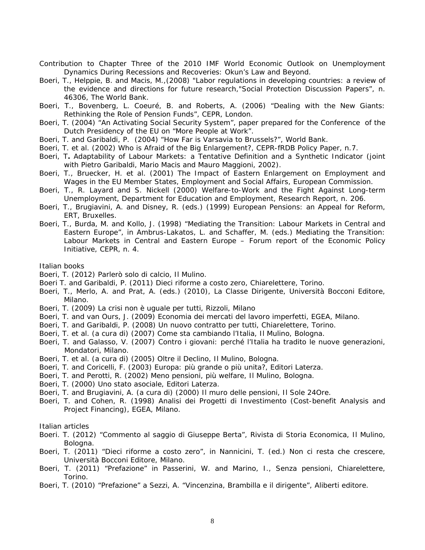- Contribution to Chapter Three of the 2010 IMF World Economic Outlook on *Unemployment Dynamics During Recessions and Recoveries: Okun's Law and Beyond.*
- Boeri, T., Helppie, B. and Macis, M.,(2008) "Labor regulations in developing countries: a review of the evidence and directions for future research,"Social Protection Discussion Papers", n. 46306, The World Bank.
- Boeri, T., Bovenberg, L. Coeuré, B. and Roberts, A. (2006) "Dealing with the New Giants: Rethinking the Role of Pension Funds", CEPR, London.
- Boeri, T. (2004) "An Activating Social Security System", paper prepared for the Conference of the Dutch Presidency of the EU on "More People at Work".
- Boeri, T. and Garibaldi, P. (2004) "How Far is Varsavia to Brussels?", World Bank.
- Boeri, T. et al. (2002) *Who is Afraid of the Big Enlargement?*, CEPR-fRDB Policy Paper, n.7.
- Boeri, T**.** *Adaptability of Labour Markets: a Tentative Definition and a Synthetic Indicator* (joint with Pietro Garibaldi, Mario Macis and Mauro Maggioni, 2002).
- Boeri, T., Bruecker, H. et al. (2001) *The Impact of Eastern Enlargement on Employment and Wages in the EU Member States*, Employment and Social Affairs, European Commission.
- Boeri, T., R. Layard and S. Nickell (2000) *Welfare-to-Work and the Fight Against Long-term Unemployment*, Department for Education and Employment, Research Report, n. 206.
- Boeri, T., Brugiavini, A. and Disney, R. (eds.) (1999) *European Pensions: an Appeal for Reform*, ERT, Bruxelles.
- Boeri, T., Burda, M. and Kollo, J. (1998) "Mediating the Transition: Labour Markets in Central and Eastern Europe", in Ambrus-Lakatos, L. and Schaffer, M. (eds.) *Mediating the Transition: Labour Markets in Central and Eastern Europe – Forum report of the Economic Policy Initiative*, CEPR, n. 4.

#### *Italian books*

Boeri, T. (2012) *Parlerò solo di calcio,* Il Mulino.

- Boeri T. and Garibaldi, P. (2011) *Dieci riforme a costo zero*, Chiarelettere, Torino.
- Boeri, T., Merlo, A. and Prat, A. (eds.) (2010), *La Classe Dirigente*, Università Bocconi Editore, Milano.
- Boeri, T. (2009) *La crisi non è uguale per tutti*, Rizzoli, Milano
- Boeri, T. and van Ours, J. (2009) *Economia dei mercati del lavoro imperfetti*, EGEA, Milano.
- Boeri, T. and Garibaldi, P. (2008) *Un nuovo contratto per tutti*, Chiarelettere, Torino.
- Boeri, T. et al. (a cura di) (2007) *Come sta cambiando l'Italia*, Il Mulino, Bologna.
- Boeri, T. and Galasso, V. (2007) *Contro i giovani: perché l'Italia ha tradito le nuove generazioni*, Mondatori, Milano.
- Boeri, T. et al. (a cura di) (2005) *Oltre il Declino,* Il Mulino, Bologna.
- Boeri, T. and Coricelli, F. (2003) *Europa: più grande o più unita?*, Editori Laterza.
- Boeri, T. and Perotti, R. (2002) *Meno pensioni, più welfare,* Il Mulino, Bologna.
- Boeri, T. (2000) *Uno stato asociale*, Editori Laterza.
- Boeri, T. and Brugiavini, A. (a cura di) (2000) *Il muro delle pensioni*, Il Sole 24Ore.
- Boeri, T. and Cohen, R. (1998) *Analisi dei Progetti di Investimento* (Cost-benefit Analysis and Project Financing), EGEA, Milano.

#### *Italian articles*

- Boeri. T. (2012) "Commento al saggio di Giuseppe Berta", *Rivista di Storia Economica*, Il Mulino, Bologna.
- Boeri, T. (2011) "Dieci riforme a costo zero", in Nannicini, T. (ed.) *Non ci resta che crescere*, Università Bocconi Editore, Milano.
- Boeri, T. (2011) "Prefazione" in Passerini, W. and Marino, I., *Senza pensioni*, Chiarelettere, Torino.
- Boeri, T. (2010) "Prefazione" a Sezzi, A. "Vincenzina, Brambilla e il dirigente", Aliberti editore.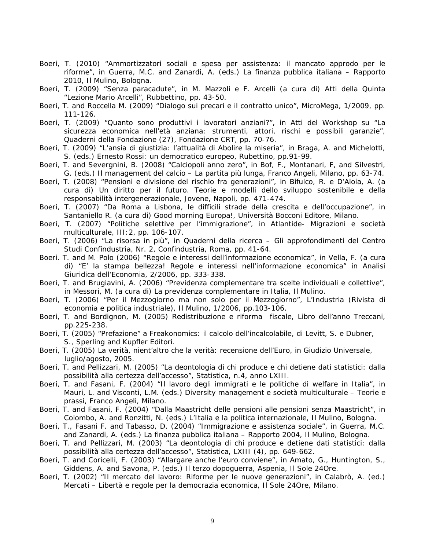- Boeri, T. (2010) "Ammortizzatori sociali e spesa per assistenza: il mancato approdo per le riforme", in Guerra, M.C. and Zanardi, A. (eds.) *La finanza pubblica italiana – Rapporto 2010*, Il Mulino, Bologna.
- Boeri, T. (2009) "Senza paracadute", in M. Mazzoli e F. Arcelli (a cura di) *Atti della Quinta "Lezione Mario Arcelli"*, Rubbettino, pp. 43-50.
- Boeri, T. and Roccella M. (2009) "Dialogo sui precari e il contratto unico", MicroMega, 1/2009, pp. 111-126.
- Boeri, T. (2009) "Quanto sono produttivi i lavoratori anziani?", in *Atti del Workshop su "La sicurezza economica nell'età anziana: strumenti, attori, rischi e possibili garanzie"*, Quaderni della Fondazione (27), Fondazione CRT, pp. 70-76.
- Boeri, T. (2009) "L'ansia di giustizia: l'attualità di *Abolire la miseria*", in Braga, A. and Michelotti, S. (eds.) *Ernesto Rossi: un democratico europeo*, Rubettino, pp.91-99.
- Boeri, T. and Severgnini, B. (2008) "Calciopoli anno zero", in Bof, F., Montanari, F, and Silvestri, G. (eds.) *Il management del calcio – La partita più lunga*, Franco Angeli, Milano, pp. 63-74.
- Boeri, T. (2008) "Pensioni e divisione del rischio fra generazioni", in Bifulco, R. e D'Aloia, A. (a cura di) *Un diritto per il futuro. Teorie e modelli dello sviluppo sostenibile e della responsabilità intergenerazionale*, Jovene, Napoli, pp. 471-474.
- Boeri, T. (2007) "Da Roma a Lisbona, le difficili strade della crescita e dell'occupazione", in Santaniello R. (a cura di) *Good morning Europa!*, Università Bocconi Editore, Milano.
- Boeri, T. (2007) "Politiche selettive per l'immigrazione", in *Atlantide- Migrazioni e società multiculturale*, III:2, pp. 106-107.
- Boeri, T. (2006) "La risorsa in più", in *Quaderni della ricerca Gli approfondimenti del Centro Studi Confindustria*, Nr. 2, Confindustria, Roma, pp. 41-64.
- Boeri. T. and M. Polo (2006) "Regole e interessi dell'informazione economica", in Vella, F. (a cura di) "E' la stampa bellezza! Regole e interessi nell'informazione economica" in *Analisi Giuridica dell'Economia*, 2/2006, pp. 333-338.
- Boeri, T. and Brugiavini, A. (2006) "Previdenza complementare tra scelte individuali e collettive", in Messori, M. (a cura di) *La previdenza complementare in Italia*, Il Mulino.
- Boeri, T. (2006) "Per il Mezzogiorno ma non solo per il Mezzogiorno", *L'Industria (Rivista di economia e politica industriale)*, Il Mulino, 1/2006, pp.103-106.
- Boeri, T. and Bordignon, M. (2005) *Redistribuzione e riforma fiscale*, Libro dell'anno Treccani, pp.225-238.
- Boeri, T. (2005) "Prefazione" a *Freakonomics*: *il calcolo dell'incalcolabile*, di Levitt, S. e Dubner, S., Sperling and Kupfler Editori.
- Boeri, T. (2005) La verità, nient'altro che la verità: recensione dell'Euro, in *Giudizio Universale*, luglio/agosto, 2005.
- Boeri, T. and Pellizzari, M. (2005) "La deontologia di chi produce e chi detiene dati statistici: dalla possibilità alla certezza dell'accesso", *Statistica*, n.4, anno LXIII.
- Boeri, T. and Fasani, F. (2004) "Il lavoro degli immigrati e le politiche di welfare in Italia", in Mauri, L. and Visconti, L.M. (eds.) *Diversity management e società multiculturale – Teorie e prassi*, Franco Angeli, Milano.
- Boeri, T. and Fasani, F. (2004) "Dalla *Maastricht delle pensioni* alle pensioni senza Maastricht", in Colombo, A. and Ronzitti, N. (eds.) *L'Italia e la politica internazionale*, Il Mulino, Bologna.
- Boeri, T., Fasani F. and Tabasso, D. (2004) "Immigrazione e assistenza sociale", in Guerra, M.C. and Zanardi, A. (eds.) *La finanza pubblica italiana – Rapporto 2004*, Il Mulino, Bologna.
- Boeri, T. and Pellizzari, M. (2003) "La deontologia di chi produce e detiene dati statistici: dalla possibilità alla certezza dell'accesso", *Statistica*, LXIII (4), pp. 649-662.
- Boeri, T. and Coricelli, F. (2003) "Allargare anche l'euro conviene", in Amato, G., Huntington, S., Giddens, A. and Savona, P. (eds.) *Il terzo dopoguerra*, Aspenia, Il Sole 24Ore.
- Boeri, T. (2002) "Il mercato del lavoro: Riforme per le nuove generazioni", in Calabrò, A. (ed.) *Mercati – Libertà e regole per la democrazia economica*, Il Sole 24Ore, Milano.